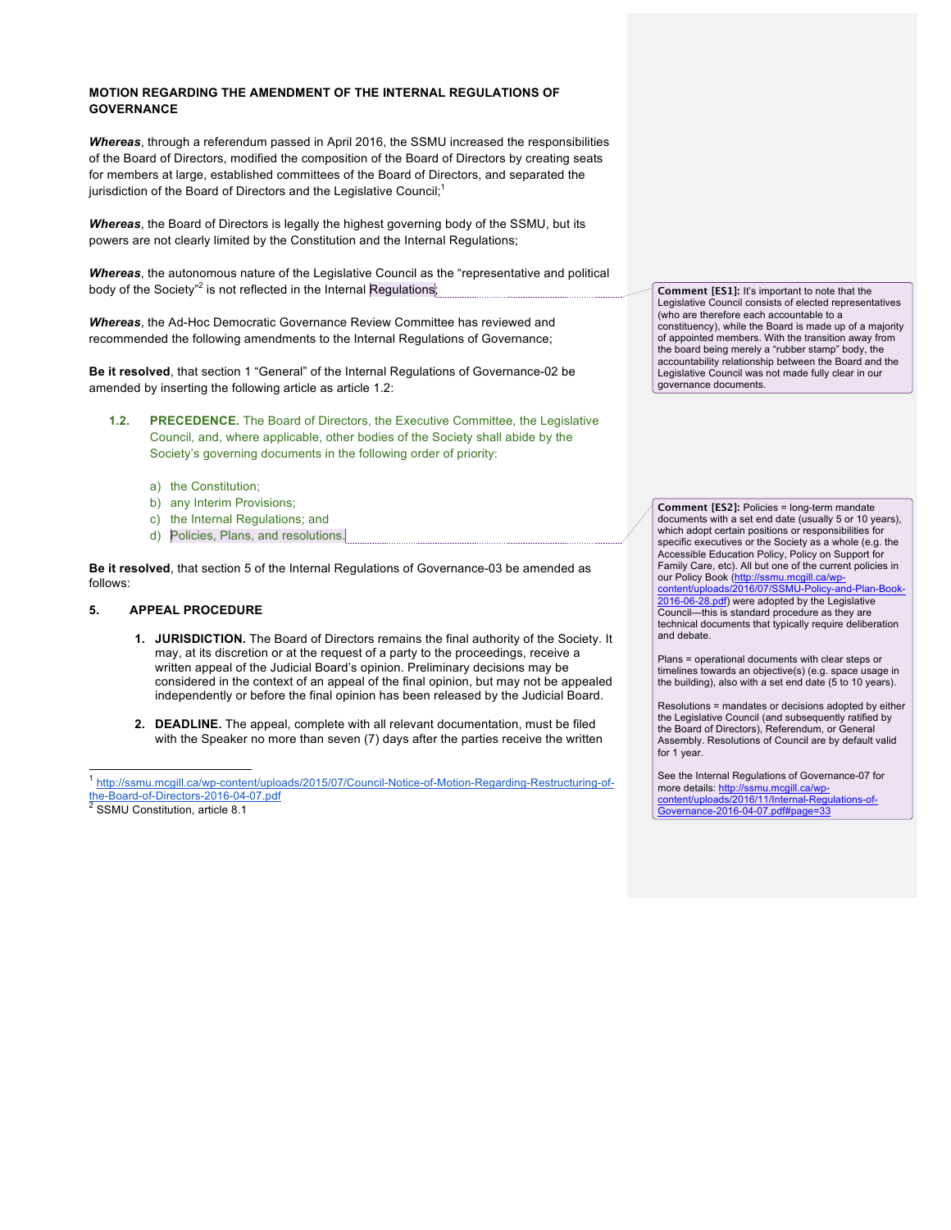### **MOTION REGARDING THE AMENDMENT OF THE INTERNAL REGULATIONS OF GOVERNANCE**

*Whereas*, through a referendum passed in April 2016, the SSMU increased the responsibilities of the Board of Directors, modified the composition of the Board of Directors by creating seats for members at large, established committees of the Board of Directors, and separated the jurisdiction of the Board of Directors and the Legislative Council;<sup>1</sup>

*Whereas*, the Board of Directors is legally the highest governing body of the SSMU, but its powers are not clearly limited by the Constitution and the Internal Regulations;

*Whereas*, the autonomous nature of the Legislative Council as the "representative and political body of the Society"<sup>2</sup> is not reflected in the Internal Regulations;

*Whereas*, the Ad-Hoc Democratic Governance Review Committee has reviewed and recommended the following amendments to the Internal Regulations of Governance;

**Be it resolved**, that section 1 "General" of the Internal Regulations of Governance-02 be amended by inserting the following article as article 1.2:

- **1.2. PRECEDENCE.** The Board of Directors, the Executive Committee, the Legislative Council, and, where applicable, other bodies of the Society shall abide by the Society's governing documents in the following order of priority:
	- a) the Constitution;
	- b) any Interim Provisions;
	- c) the Internal Regulations; and
	- d) Policies, Plans, and resolutions.

**Be it resolved**, that section 5 of the Internal Regulations of Governance-03 be amended as follows:

#### **5. APPEAL PROCEDURE**

- **1. JURISDICTION.** The Board of Directors remains the final authority of the Society. It may, at its discretion or at the request of a party to the proceedings, receive a written appeal of the Judicial Board's opinion. Preliminary decisions may be considered in the context of an appeal of the final opinion, but may not be appealed independently or before the final opinion has been released by the Judicial Board.
- **2. DEADLINE.** The appeal, complete with all relevant documentation, must be filed with the Speaker no more than seven (7) days after the parties receive the written

 1 http://ssmu.mcgill.ca/wp-content/uploads/2015/07/Council-Notice-of-Motion-Regarding-Restructuring-ofthe-Board-of-Directors-2016-04-07.pdf<br>
<sup>2</sup> SSMU Constitution, article 8.1

**Comment [ES1]:** It's important to note that the Legislative Council consists of elected representatives (who are therefore each accountable to a constituency), while the Board is made up of a majority of appointed members. With the transition away from the board being merely a "rubber stamp" body, the accountability relationship between the Board and the Legislative Council was not made fully clear in our governance documents.

**Comment [ES2]:** Policies = long-term mandate documents with a set end date (usually 5 or 10 years), which adopt certain positions or responsibilities for specific executives or the Society as a whole (e.g. the Accessible Education Policy, Policy on Support for Family Care, etc). All but one of the current policies in our Policy Book (<u>http://ssmu.mcgill.ca/wp-</u><br>content/unloads/2016/07/SSMU-Policy-an

2016/07/SSMU-Poli 2016-06-28.pdf) were adopted by the Legislative Council—this is standard procedure as they are technical documents that typically require deliberation and debate.

Plans = operational documents with clear steps or timelines towards an objective(s) (e.g. space usage in the building), also with a set end date (5 to 10 years).

Resolutions = mandates or decisions adopted by either the Legislative Council (and subsequently ratified by the Board of Directors), Referendum, or General Assembly. Resolutions of Council are by default valid for 1 year.

See the Internal Regulations of Governance-07 for more details: http://ssmu.mcgill.ca/wpcontent/uploads/2016/11/Internal-Regulations-of- $-2016 - 04 - 07.$ pdf#r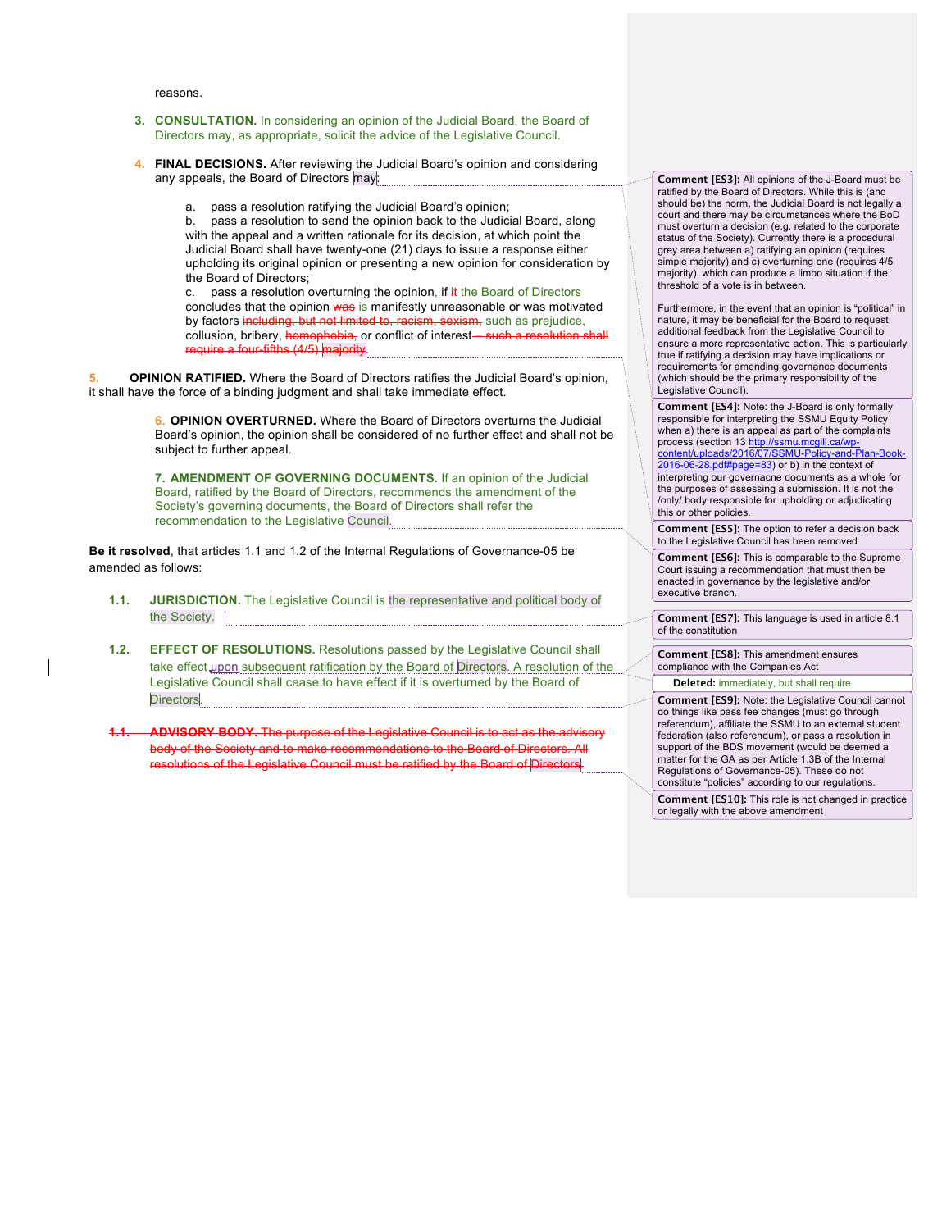reasons.

- **3. CONSULTATION.** In considering an opinion of the Judicial Board, the Board of Directors may, as appropriate, solicit the advice of the Legislative Council.
- **4. FINAL DECISIONS.** After reviewing the Judicial Board's opinion and considering any appeals, the Board of Directors may:
	- a. pass a resolution ratifying the Judicial Board's opinion;

b. pass a resolution to send the opinion back to the Judicial Board, along with the appeal and a written rationale for its decision, at which point the Judicial Board shall have twenty-one (21) days to issue a response either upholding its original opinion or presenting a new opinion for consideration by the Board of Directors;

c. pass a resolution overturning the opinion, if  $#$  the Board of Directors concludes that the opinion was is manifestly unreasonable or was motivated by factors including, but not limited to, racism, sexism, such as prejudice. collusion, bribery, homophobia, or conflict of interest-such a resolution shall equire a four-fifths (4/5) majority

**5. OPINION RATIFIED.** Where the Board of Directors ratifies the Judicial Board's opinion, it shall have the force of a binding judgment and shall take immediate effect.

> **6. OPINION OVERTURNED.** Where the Board of Directors overturns the Judicial Board's opinion, the opinion shall be considered of no further effect and shall not be subject to further appeal.

**7. AMENDMENT OF GOVERNING DOCUMENTS.** If an opinion of the Judicial Board, ratified by the Board of Directors, recommends the amendment of the Society's governing documents, the Board of Directors shall refer the recommendation to the Legislative Council.

**Be it resolved**, that articles 1.1 and 1.2 of the Internal Regulations of Governance-05 be amended as follows:

- **1.1. JURISDICTION.** The Legislative Council is the representative and political body of the Society.
- **1.2. EFFECT OF RESOLUTIONS.** Resolutions passed by the Legislative Council shall take effect upon subsequent ratification by the Board of Directors. A resolution of the Legislative Council shall cease to have effect if it is overturned by the Board of Directors.
- **ADVISORY BODY.** The purpose of the Legislative Council is to body of the Society and to make recommendations to the Board of Directors. All resolutions of the Legislative Council must be ratified by the Board of Directors.

**Comment [ES3]:** All opinions of the J-Board must be ratified by the Board of Directors. While this is (and should be) the norm, the Judicial Board is not legally a court and there may be circumstances where the BoD must overturn a decision (e.g. related to the corporate status of the Society). Currently there is a procedural grey area between a) ratifying an opinion (requires simple majority) and c) overturning one (requires 4/5 majority), which can produce a limbo situation if the threshold of a vote is in between.

Furthermore, in the event that an opinion is "political" in nature, it may be beneficial for the Board to request additional feedback from the Legislative Council to ensure a more representative action. This is particularly true if ratifying a decision may have implications or requirements for amending governance documents (which should be the primary responsibility of the Legislative Council).

**Comment [ES4]:** Note: the J-Board is only formally responsible for interpreting the SSMU Equity Policy when a) there is an appeal as part of the complaints process (section 13 <u>http://ssmu.mcgill.ca/wp-</u> content/uploads/2016/07/SSMU-Policy-and-Plan-Book-

2016-06-28.pdf#page=83) or b) in the context of interpreting our governacne documents as a whole for the purposes of assessing a submission. It is not the /only/ body responsible for upholding or adjudicating this or other policies.

**Comment [ES5]:** The option to refer a decision back to the Legislative Council has been removed

**Comment [ES6]:** This is comparable to the Supreme Court issuing a recommendation that must then be enacted in governance by the legislative and/or executive branch.

**Comment [ES7]:** This language is used in article 8.1 of the constitution

**Comment [ES8]:** This amendment ensures compliance with the Companies Act

**Deleted:** immediately, but shall require

**Comment [ES9]:** Note: the Legislative Council cannot do things like pass fee changes (must go through referendum), affiliate the SSMU to an external student federation (also referendum), or pass a resolution in support of the BDS movement (would be deemed a matter for the GA as per Article 1.3B of the Internal Regulations of Governance-05). These do not constitute "policies" according to our regulations

**Comment [ES10]:** This role is not changed in practice or legally with the above amendment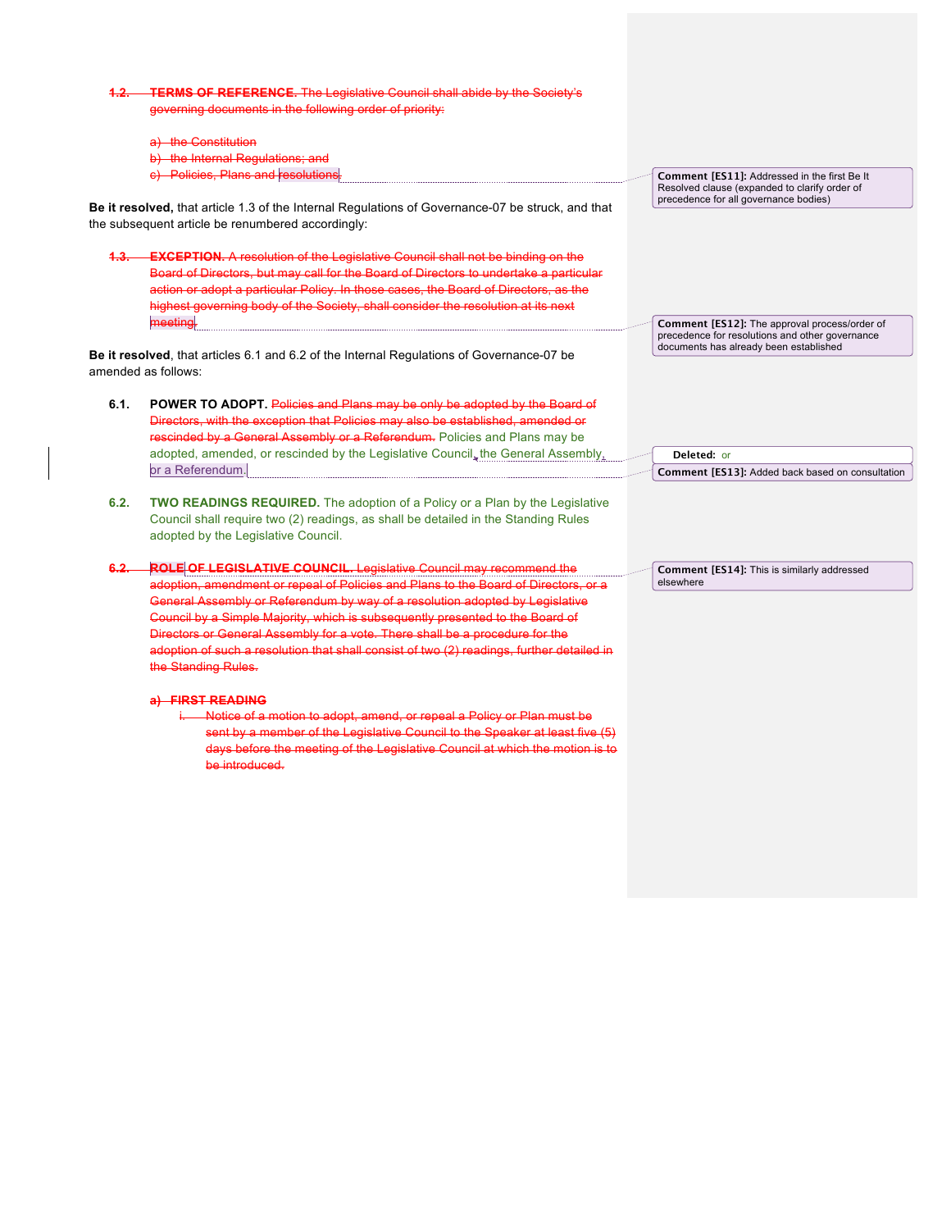|                                                                                                                                                        | <b>1.2. TERMS OF REFERENCE.</b> The Legislative Council shall abide by the Society's                                                                                                                                                                                                                                                                                                                                                                     |                                                                                                                                            |
|--------------------------------------------------------------------------------------------------------------------------------------------------------|----------------------------------------------------------------------------------------------------------------------------------------------------------------------------------------------------------------------------------------------------------------------------------------------------------------------------------------------------------------------------------------------------------------------------------------------------------|--------------------------------------------------------------------------------------------------------------------------------------------|
|                                                                                                                                                        | governing documents in the following order of priority:                                                                                                                                                                                                                                                                                                                                                                                                  |                                                                                                                                            |
|                                                                                                                                                        |                                                                                                                                                                                                                                                                                                                                                                                                                                                          |                                                                                                                                            |
|                                                                                                                                                        | a) the Constitution                                                                                                                                                                                                                                                                                                                                                                                                                                      |                                                                                                                                            |
|                                                                                                                                                        | b) the Internal Regulations; and<br>c) Policies, Plans and resolutions.                                                                                                                                                                                                                                                                                                                                                                                  |                                                                                                                                            |
|                                                                                                                                                        |                                                                                                                                                                                                                                                                                                                                                                                                                                                          | Comment [ES11]: Addressed in the first Be It<br>Resolved clause (expanded to clarify order of                                              |
| Be it resolved, that article 1.3 of the Internal Regulations of Governance-07 be struck, and that<br>the subsequent article be renumbered accordingly: |                                                                                                                                                                                                                                                                                                                                                                                                                                                          | precedence for all governance bodies)                                                                                                      |
|                                                                                                                                                        | 1.3. <b>EXCEPTION.</b> A resolution of the Legislative Council shall not be binding on the<br>Board of Directors, but may call for the Board of Directors to undertake a particular<br>action or adopt a particular Policy. In those cases, the Board of Directors, as the<br>highest governing body of the Society, shall consider the resolution at its next                                                                                           |                                                                                                                                            |
|                                                                                                                                                        | meeting.<br>Be it resolved, that articles 6.1 and 6.2 of the Internal Regulations of Governance-07 be                                                                                                                                                                                                                                                                                                                                                    | Comment [ES12]: The approval process/order of<br>precedence for resolutions and other governance<br>documents has already been established |
|                                                                                                                                                        | amended as follows:                                                                                                                                                                                                                                                                                                                                                                                                                                      |                                                                                                                                            |
|                                                                                                                                                        |                                                                                                                                                                                                                                                                                                                                                                                                                                                          |                                                                                                                                            |
| 6.1.                                                                                                                                                   | POWER TO ADOPT. Policies and Plans may be only be adopted by the Board of<br>Directors, with the exception that Policies may also be established, amended or<br>rescinded by a General Assembly or a Referendum. Policies and Plans may be<br>adopted, amended, or rescinded by the Legislative Council, the General Assembly,<br>or a Referendum.                                                                                                       | Deleted: or<br>Comment [ES13]: Added back based on consultation                                                                            |
| 6.2.                                                                                                                                                   | <b>TWO READINGS REQUIRED.</b> The adoption of a Policy or a Plan by the Legislative<br>Council shall require two (2) readings, as shall be detailed in the Standing Rules<br>adopted by the Legislative Council.                                                                                                                                                                                                                                         |                                                                                                                                            |
| $6.2 -$                                                                                                                                                | <b>ROLE OF LEGISLATIVE COUNCIL.</b> Legislative Council may recommend the                                                                                                                                                                                                                                                                                                                                                                                | Comment [ES14]: This is similarly addressed                                                                                                |
|                                                                                                                                                        | adoption, amendment or repeal of Policies and Plans to the Board of Directors, or a<br>General Assembly or Referendum by way of a resolution adopted by Legislative<br>Council by a Simple Majority, which is subsequently presented to the Board of<br>Directors or General Assembly for a vote. There shall be a procedure for the<br>adoption of such a resolution that shall consist of two (2) readings, further detailed in<br>the Standing Rules. | elsewhere                                                                                                                                  |
|                                                                                                                                                        | a) FIRST READING<br>i. Notice of a motion to adopt, amend, or repeal a Policy or Plan must be<br>sent by a member of the Legislative Council to the Speaker at least five (5)<br>days before the meeting of the Legislative Council at which the motion is to<br>be introduced.                                                                                                                                                                          |                                                                                                                                            |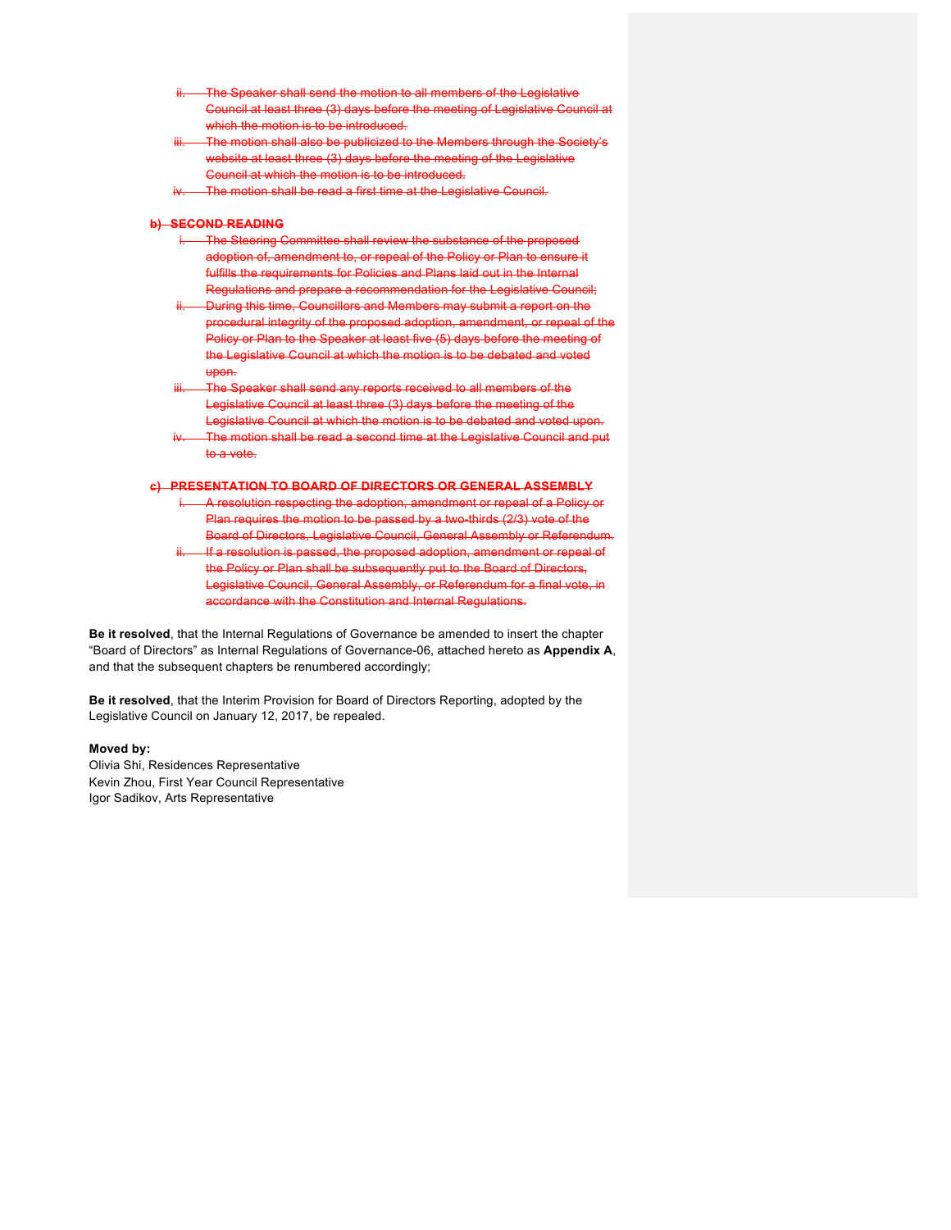- inter shall send the motion to all members of the Legislative Council at least three (3) days before the meeting of Legislative Council which the motion is to be introduced.
- otion shall also be publicized to the Members through the Society's website at least three (3) days before the meeting of the Legislative Council at which the motion is to be introduced.
- The motion shall be read a first time at the Legislative Council.

#### **b) SECOND READING**

- The Steering Committee shall review the substance of the prope adoption of, amendment to, or repeal of the Policy or Plan to ensure it fulfills the requirements for Policies and Plans laid out in the Internal Regulations and prepare a recommendation for the Legislative Cound
- During this time, Councillors and Members may submit a report on the procedural integrity of the proposed adoption, amendment, or repeal of the Policy or Plan to the Speaker at least five (5) days before the meeting of the Legislative Council at which the motion is to be debated and voted upon.
- aker shall send any reports received to all members of the Legislative Council at least three (3) days before the meeting of the slative Council at which the motion is to be debated and voted up
- he motion shall be read a second time at the Legislative Council and put to a vote.

#### **c) PRESENTATION TO BOARD OF DIRECTORS OR GENERAL ASSEMBLY**

- A resolution respecting the adoption, amendment or repeal of a Policy or Plan requires the motion to be passed by a two-thirds (2/3) vote of the Board of Directors, Legislative Council, General Assembly or Referendum.
- If a resolution is passed, the proposed adoption, amendment or repeal of the Policy or Plan shall be subsequently put to the Board of Directors, Legislative Council, General Assembly, or Referendum for a final vote, in accordance with the Constitution and Internal Regulations.

**Be it resolved**, that the Internal Regulations of Governance be amended to insert the chapter "Board of Directors" as Internal Regulations of Governance-06, attached hereto as **Appendix A**, and that the subsequent chapters be renumbered accordingly;

**Be it resolved**, that the Interim Provision for Board of Directors Reporting, adopted by the Legislative Council on January 12, 2017, be repealed.

#### **Moved by:**

Olivia Shi, Residences Representative Kevin Zhou, First Year Council Representative Igor Sadikov, Arts Representative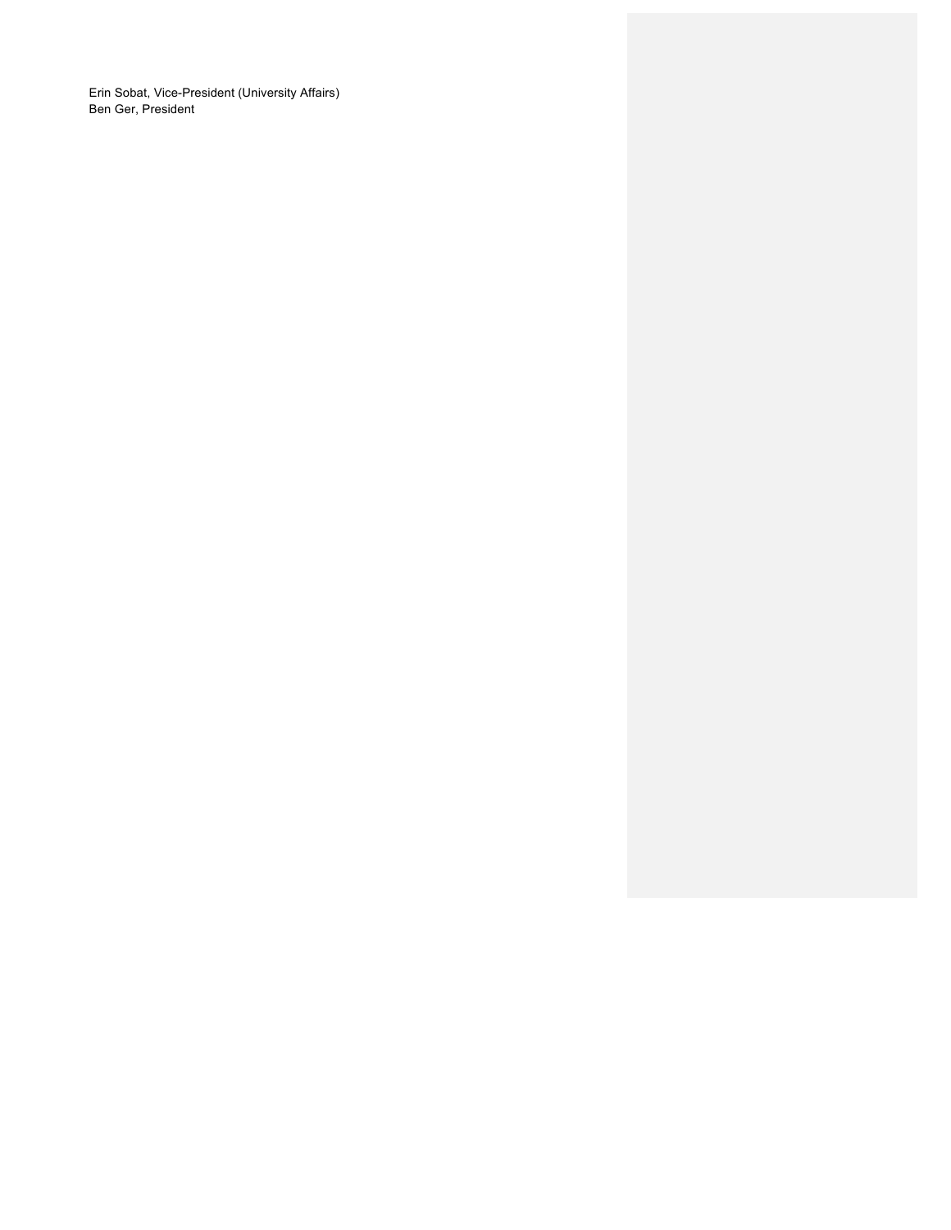Erin Sobat, Vice-President (University Affairs) Ben Ger, President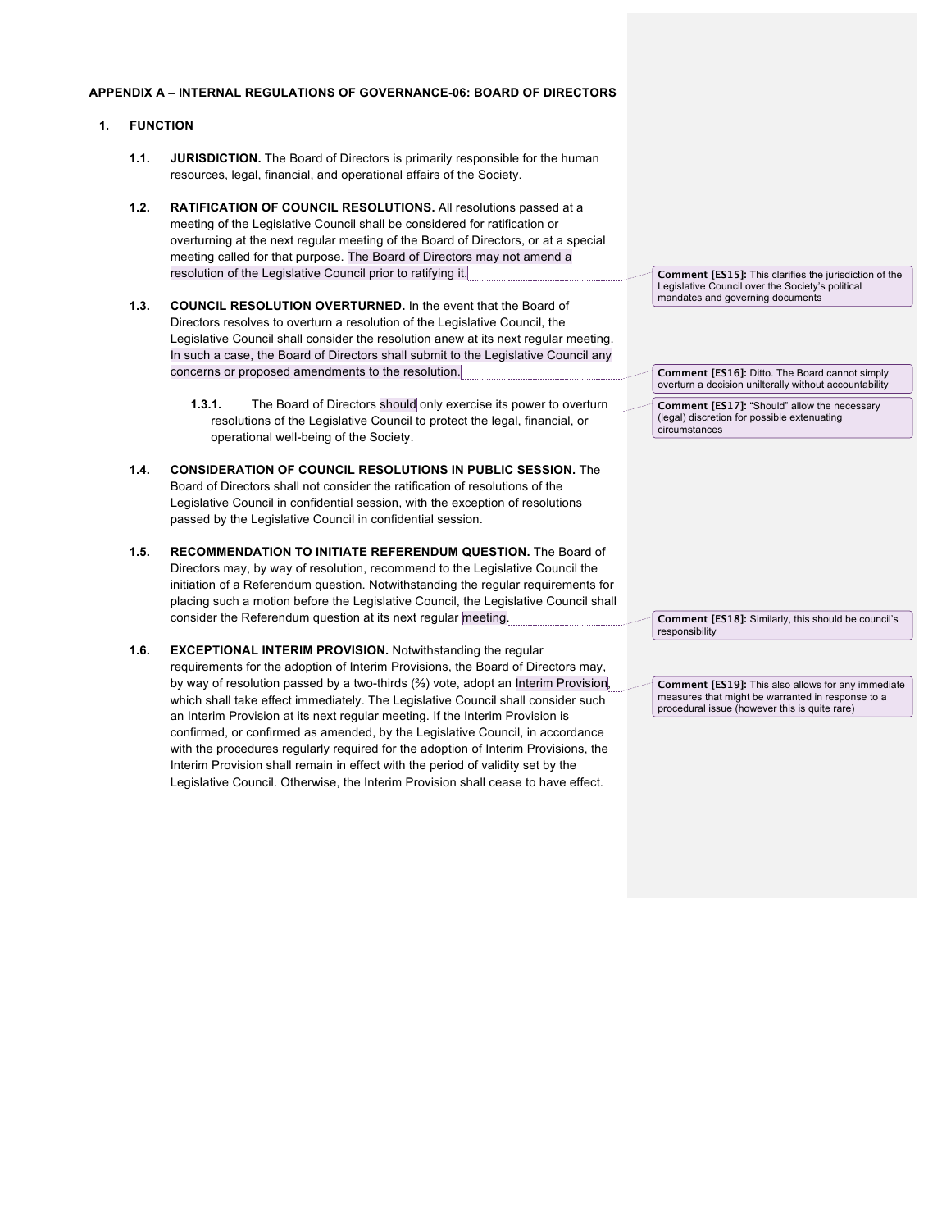### **APPENDIX A – INTERNAL REGULATIONS OF GOVERNANCE-06: BOARD OF DIRECTORS**

### **1. FUNCTION**

- **1.1. JURISDICTION.** The Board of Directors is primarily responsible for the human resources, legal, financial, and operational affairs of the Society.
- **1.2. RATIFICATION OF COUNCIL RESOLUTIONS.** All resolutions passed at a meeting of the Legislative Council shall be considered for ratification or overturning at the next regular meeting of the Board of Directors, or at a special meeting called for that purpose. The Board of Directors may not amend a resolution of the Legislative Council prior to ratifying it.
- **1.3. COUNCIL RESOLUTION OVERTURNED.** In the event that the Board of Directors resolves to overturn a resolution of the Legislative Council, the Legislative Council shall consider the resolution anew at its next regular meeting. In such a case, the Board of Directors shall submit to the Legislative Council any concerns or proposed amendments to the resolution.
	- **1.3.1.** The Board of Directors should only exercise its power to overturn resolutions of the Legislative Council to protect the legal, financial, or operational well-being of the Society.
- **1.4. CONSIDERATION OF COUNCIL RESOLUTIONS IN PUBLIC SESSION.** The Board of Directors shall not consider the ratification of resolutions of the Legislative Council in confidential session, with the exception of resolutions passed by the Legislative Council in confidential session.
- **1.5. RECOMMENDATION TO INITIATE REFERENDUM QUESTION.** The Board of Directors may, by way of resolution, recommend to the Legislative Council the initiation of a Referendum question. Notwithstanding the regular requirements for placing such a motion before the Legislative Council, the Legislative Council shall consider the Referendum question at its next regular meeting.
- **1.6. EXCEPTIONAL INTERIM PROVISION.** Notwithstanding the regular requirements for the adoption of Interim Provisions, the Board of Directors may, by way of resolution passed by a two-thirds (⅔) vote, adopt an Interim Provision, which shall take effect immediately. The Legislative Council shall consider such an Interim Provision at its next regular meeting. If the Interim Provision is confirmed, or confirmed as amended, by the Legislative Council, in accordance with the procedures regularly required for the adoption of Interim Provisions, the Interim Provision shall remain in effect with the period of validity set by the Legislative Council. Otherwise, the Interim Provision shall cease to have effect.

**Comment [ES15]:** This clarifies the jurisdiction of the Legislative Council over the Society's political mandates and governing documents

**Comment [ES16]:** Ditto. The Board cannot simply overturn a decision unilterally without accountability

**Comment [ES17]:** "Should" allow the necessary (legal) discretion for possible extenuating circumstances

**Comment [ES18]:** Similarly, this should be council's responsibility

**Comment [ES19]:** This also allows for any immediate measures that might be warranted in response to a procedural issue (however this is quite rare)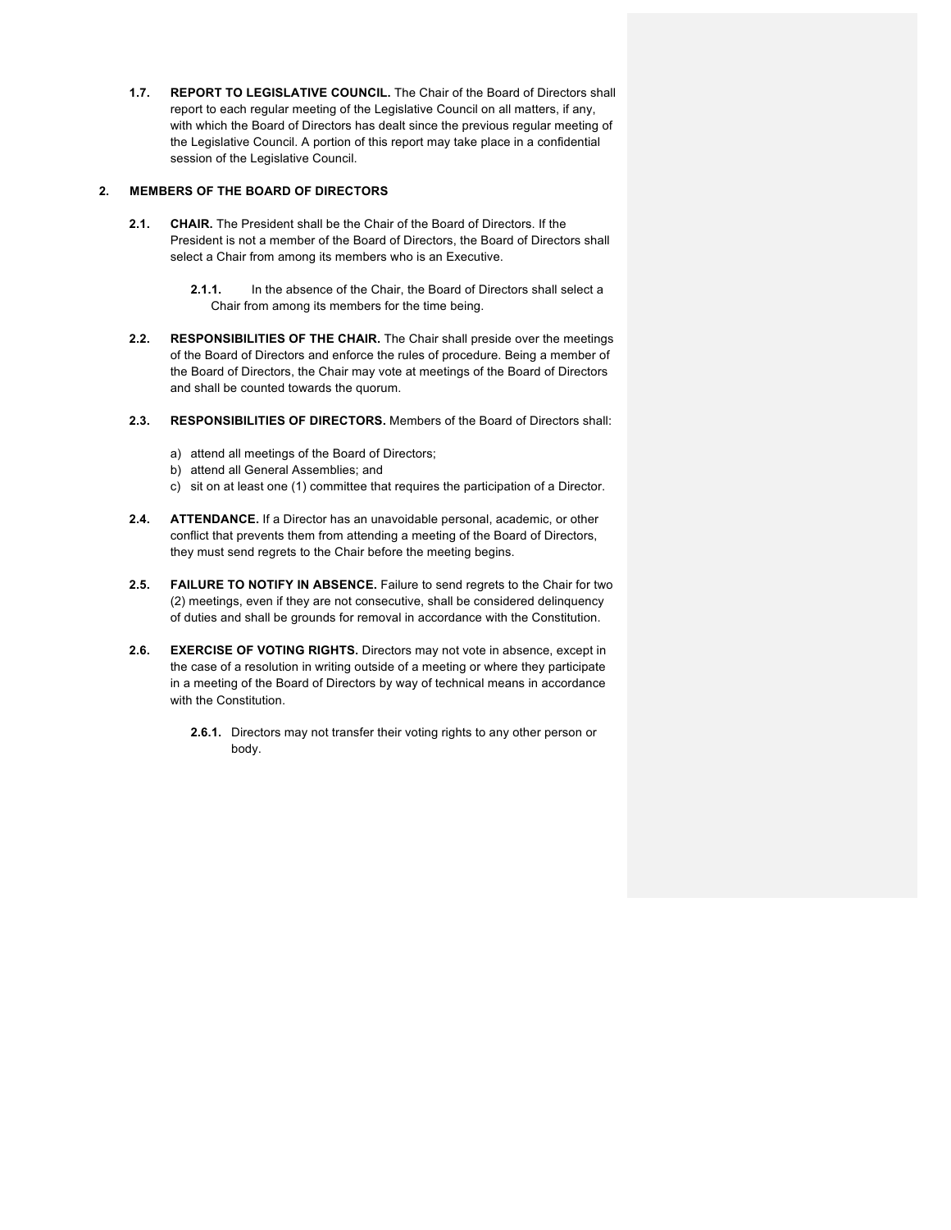**1.7. REPORT TO LEGISLATIVE COUNCIL.** The Chair of the Board of Directors shall report to each regular meeting of the Legislative Council on all matters, if any, with which the Board of Directors has dealt since the previous regular meeting of the Legislative Council. A portion of this report may take place in a confidential session of the Legislative Council.

#### **2. MEMBERS OF THE BOARD OF DIRECTORS**

- **2.1. CHAIR.** The President shall be the Chair of the Board of Directors. If the President is not a member of the Board of Directors, the Board of Directors shall select a Chair from among its members who is an Executive.
	- **2.1.1.** In the absence of the Chair, the Board of Directors shall select a Chair from among its members for the time being.
- **2.2. RESPONSIBILITIES OF THE CHAIR.** The Chair shall preside over the meetings of the Board of Directors and enforce the rules of procedure. Being a member of the Board of Directors, the Chair may vote at meetings of the Board of Directors and shall be counted towards the quorum.
- **2.3. RESPONSIBILITIES OF DIRECTORS.** Members of the Board of Directors shall:
	- a) attend all meetings of the Board of Directors;
	- b) attend all General Assemblies; and
	- c) sit on at least one (1) committee that requires the participation of a Director.
- **2.4. ATTENDANCE.** If a Director has an unavoidable personal, academic, or other conflict that prevents them from attending a meeting of the Board of Directors, they must send regrets to the Chair before the meeting begins.
- **2.5. FAILURE TO NOTIFY IN ABSENCE.** Failure to send regrets to the Chair for two (2) meetings, even if they are not consecutive, shall be considered delinquency of duties and shall be grounds for removal in accordance with the Constitution.
- **2.6. EXERCISE OF VOTING RIGHTS.** Directors may not vote in absence, except in the case of a resolution in writing outside of a meeting or where they participate in a meeting of the Board of Directors by way of technical means in accordance with the Constitution.
	- **2.6.1.** Directors may not transfer their voting rights to any other person or body.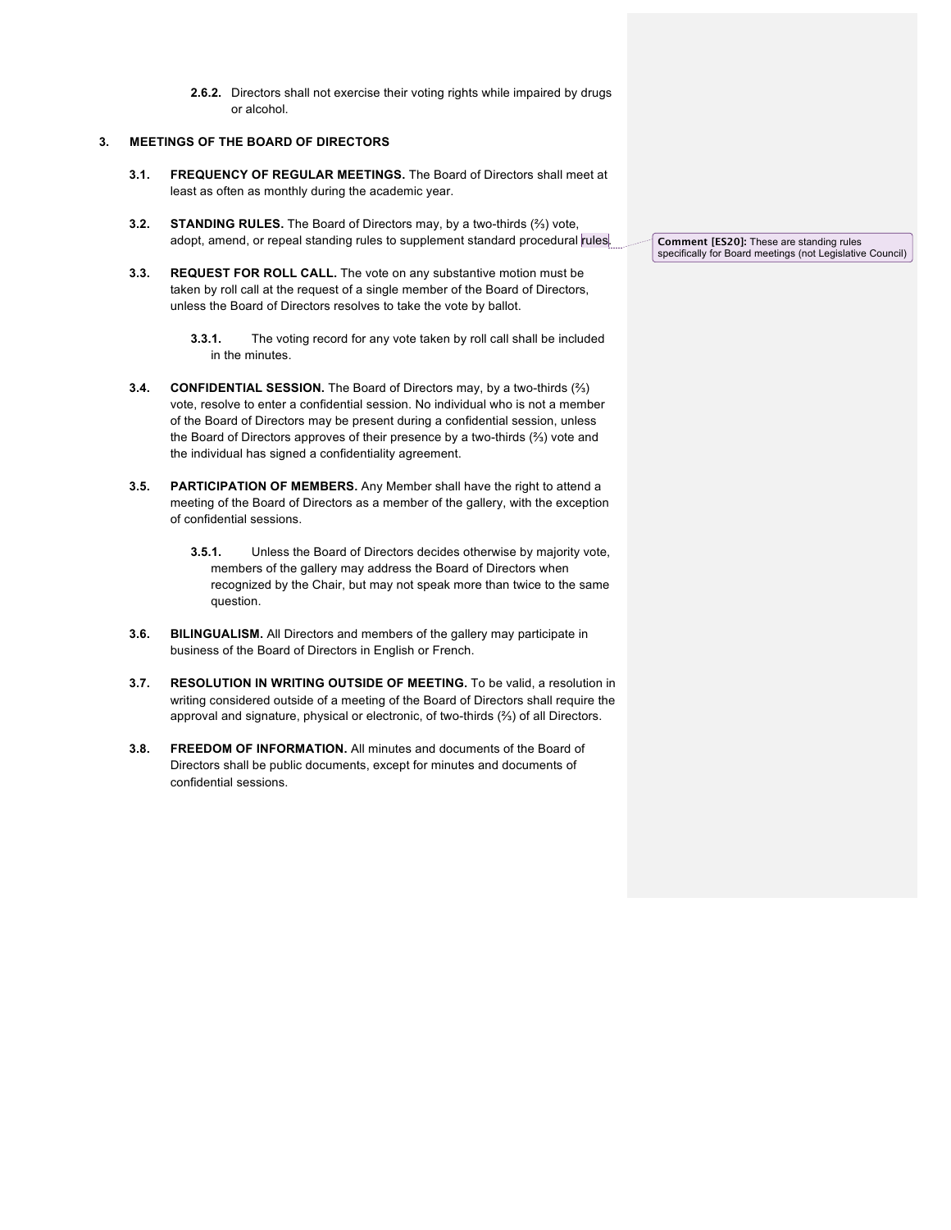**2.6.2.** Directors shall not exercise their voting rights while impaired by drugs or alcohol.

## **3. MEETINGS OF THE BOARD OF DIRECTORS**

- **3.1. FREQUENCY OF REGULAR MEETINGS.** The Board of Directors shall meet at least as often as monthly during the academic year.
- **3.2. STANDING RULES.** The Board of Directors may, by a two-thirds (⅔) vote, adopt, amend, or repeal standing rules to supplement standard procedural rules.
- **3.3. REQUEST FOR ROLL CALL.** The vote on any substantive motion must be taken by roll call at the request of a single member of the Board of Directors, unless the Board of Directors resolves to take the vote by ballot.

- **3.4. CONFIDENTIAL SESSION.** The Board of Directors may, by a two-thirds (⅔) vote, resolve to enter a confidential session. No individual who is not a member of the Board of Directors may be present during a confidential session, unless the Board of Directors approves of their presence by a two-thirds (⅔) vote and the individual has signed a confidentiality agreement.
- **3.5. PARTICIPATION OF MEMBERS.** Any Member shall have the right to attend a meeting of the Board of Directors as a member of the gallery, with the exception of confidential sessions.
	- **3.5.1.** Unless the Board of Directors decides otherwise by majority vote, members of the gallery may address the Board of Directors when recognized by the Chair, but may not speak more than twice to the same question.
- **3.6. BILINGUALISM.** All Directors and members of the gallery may participate in business of the Board of Directors in English or French.
- **3.7. RESOLUTION IN WRITING OUTSIDE OF MEETING.** To be valid, a resolution in writing considered outside of a meeting of the Board of Directors shall require the approval and signature, physical or electronic, of two-thirds (⅔) of all Directors.
- **3.8. FREEDOM OF INFORMATION.** All minutes and documents of the Board of Directors shall be public documents, except for minutes and documents of confidential sessions.

**Comment [ES20]:** These are standing rules specifically for Board meetings (not Legislative Council)

**<sup>3.3.1.</sup>** The voting record for any vote taken by roll call shall be included in the minutes.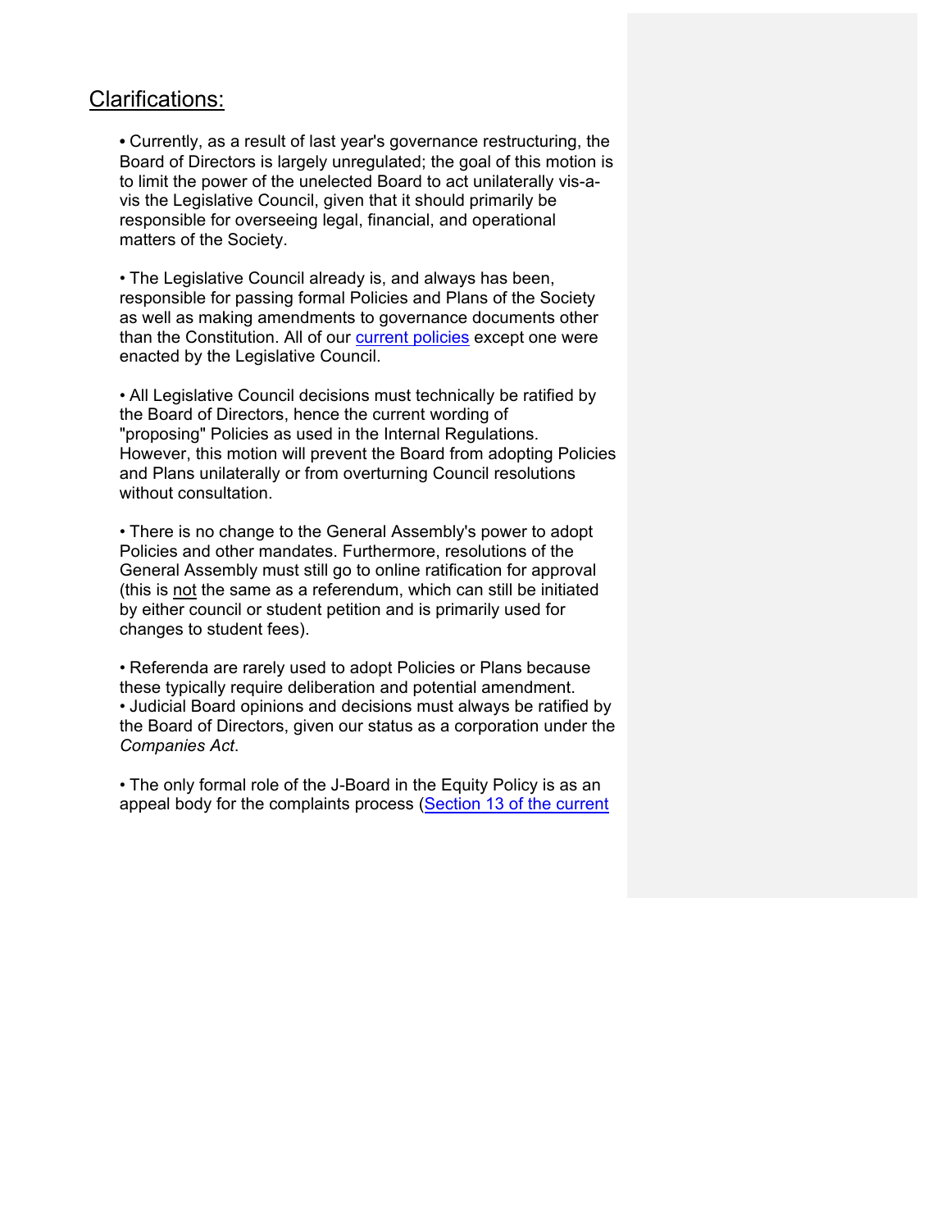# Clarifications:

• Currently, as a result of last year's governance restructuring, the Board of Directors is largely unregulated; the goal of this motion is to limit the power of the unelected Board to act unilaterally vis-avis the Legislative Council, given that it should primarily be responsible for overseeing legal, financial, and operational matters of the Society.

• The Legislative Council already is, and always has been, responsible for passing formal Policies and Plans of the Society as well as making amendments to governance documents other than the Constitution. All of our current policies except one were enacted by the Legislative Council.

• All Legislative Council decisions must technically be ratified by the Board of Directors, hence the current wording of "proposing" Policies as used in the Internal Regulations. However, this motion will prevent the Board from adopting Policies and Plans unilaterally or from overturning Council resolutions without consultation.

• There is no change to the General Assembly's power to adopt Policies and other mandates. Furthermore, resolutions of the General Assembly must still go to online ratification for approval (this is not the same as a referendum, which can still be initiated by either council or student petition and is primarily used for changes to student fees).

• Referenda are rarely used to adopt Policies or Plans because these typically require deliberation and potential amendment. • Judicial Board opinions and decisions must always be ratified by the Board of Directors, given our status as a corporation under the *Companies Act*.

• The only formal role of the J-Board in the Equity Policy is as an appeal body for the complaints process (Section 13 of the current